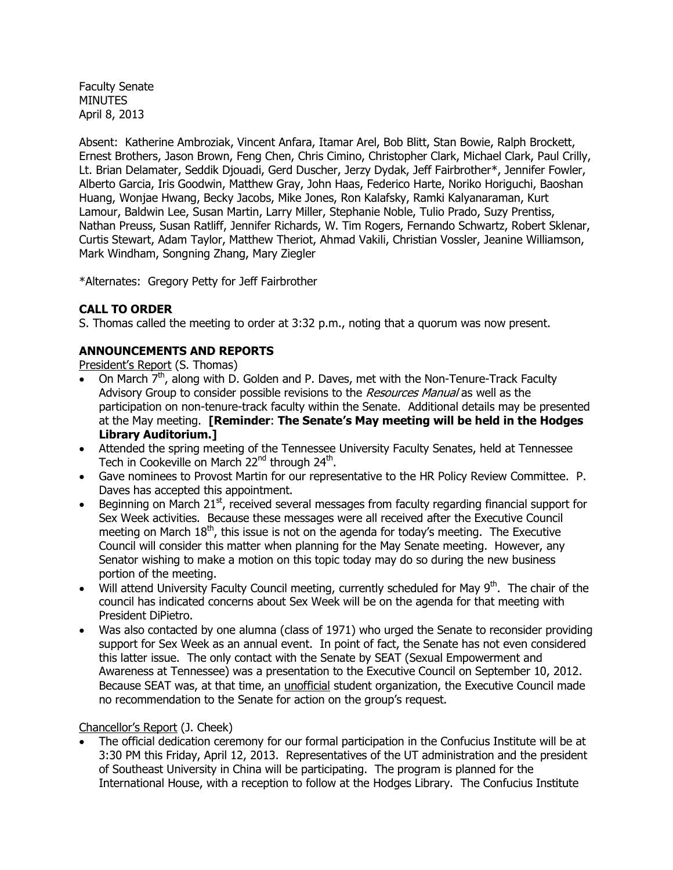Faculty Senate **MINUTES** April 8, 2013

Absent: Katherine Ambroziak, Vincent Anfara, Itamar Arel, Bob Blitt, Stan Bowie, Ralph Brockett, Ernest Brothers, Jason Brown, Feng Chen, Chris Cimino, Christopher Clark, Michael Clark, Paul Crilly, Lt. Brian Delamater, Seddik Djouadi, Gerd Duscher, Jerzy Dydak, Jeff Fairbrother\*, Jennifer Fowler, Alberto Garcia, Iris Goodwin, Matthew Gray, John Haas, Federico Harte, Noriko Horiguchi, Baoshan Huang, Wonjae Hwang, Becky Jacobs, Mike Jones, Ron Kalafsky, Ramki Kalyanaraman, Kurt Lamour, Baldwin Lee, Susan Martin, Larry Miller, Stephanie Noble, Tulio Prado, Suzy Prentiss, Nathan Preuss, Susan Ratliff, Jennifer Richards, W. Tim Rogers, Fernando Schwartz, Robert Sklenar, Curtis Stewart, Adam Taylor, Matthew Theriot, Ahmad Vakili, Christian Vossler, Jeanine Williamson, Mark Windham, Songning Zhang, Mary Ziegler

\*Alternates: Gregory Petty for Jeff Fairbrother

# **CALL TO ORDER**

S. Thomas called the meeting to order at 3:32 p.m., noting that a quorum was now present.

# **ANNOUNCEMENTS AND REPORTS**

President's Report (S. Thomas)

- On March  $7<sup>th</sup>$ , along with D. Golden and P. Daves, met with the Non-Tenure-Track Faculty Advisory Group to consider possible revisions to the Resources Manual as well as the participation on non-tenure-track faculty within the Senate. Additional details may be presented at the May meeting. **[Reminder**: **The Senate's May meeting will be held in the Hodges Library Auditorium.]**
- Attended the spring meeting of the Tennessee University Faculty Senates, held at Tennessee Tech in Cookeville on March 22<sup>nd</sup> through 24<sup>th</sup>.
- Gave nominees to Provost Martin for our representative to the HR Policy Review Committee. P. Daves has accepted this appointment.
- $\bullet$  Beginning on March 21<sup>st</sup>, received several messages from faculty regarding financial support for Sex Week activities. Because these messages were all received after the Executive Council meeting on March  $18<sup>th</sup>$ , this issue is not on the agenda for today's meeting. The Executive Council will consider this matter when planning for the May Senate meeting. However, any Senator wishing to make a motion on this topic today may do so during the new business portion of the meeting.
- $\bullet$  Will attend University Faculty Council meeting, currently scheduled for May 9<sup>th</sup>. The chair of the council has indicated concerns about Sex Week will be on the agenda for that meeting with President DiPietro.
- Was also contacted by one alumna (class of 1971) who urged the Senate to reconsider providing support for Sex Week as an annual event. In point of fact, the Senate has not even considered this latter issue. The only contact with the Senate by SEAT (Sexual Empowerment and Awareness at Tennessee) was a presentation to the Executive Council on September 10, 2012. Because SEAT was, at that time, an unofficial student organization, the Executive Council made no recommendation to the Senate for action on the group's request.

### Chancellor's Report (J. Cheek)

 The official dedication ceremony for our formal participation in the Confucius Institute will be at 3:30 PM this Friday, April 12, 2013. Representatives of the UT administration and the president of Southeast University in China will be participating. The program is planned for the International House, with a reception to follow at the Hodges Library. The Confucius Institute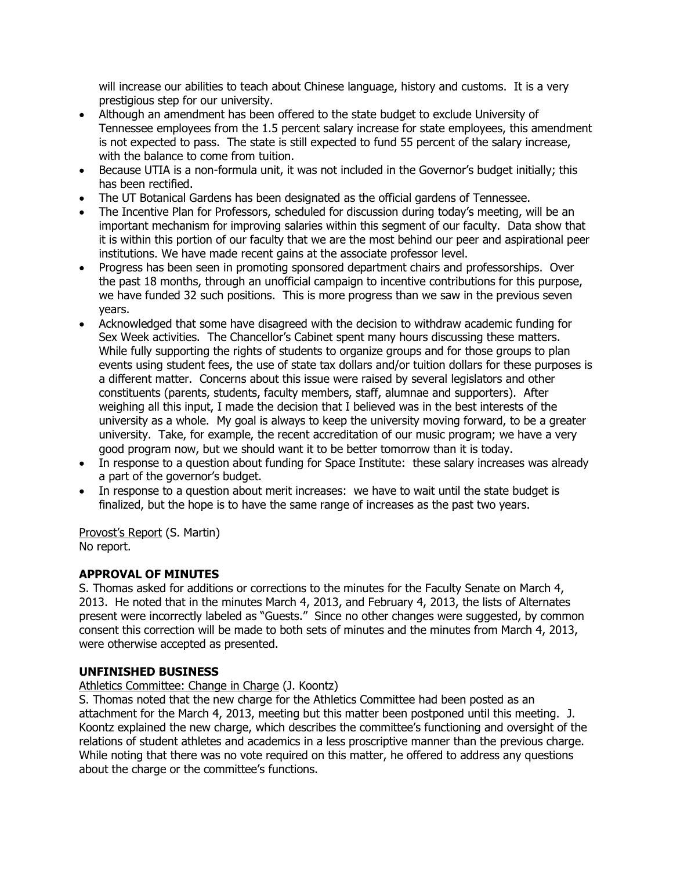will increase our abilities to teach about Chinese language, history and customs. It is a very prestigious step for our university.

- Although an amendment has been offered to the state budget to exclude University of Tennessee employees from the 1.5 percent salary increase for state employees, this amendment is not expected to pass. The state is still expected to fund 55 percent of the salary increase, with the balance to come from tuition.
- Because UTIA is a non-formula unit, it was not included in the Governor's budget initially; this has been rectified.
- The UT Botanical Gardens has been designated as the official gardens of Tennessee.
- The Incentive Plan for Professors, scheduled for discussion during today's meeting, will be an important mechanism for improving salaries within this segment of our faculty. Data show that it is within this portion of our faculty that we are the most behind our peer and aspirational peer institutions. We have made recent gains at the associate professor level.
- Progress has been seen in promoting sponsored department chairs and professorships. Over the past 18 months, through an unofficial campaign to incentive contributions for this purpose, we have funded 32 such positions. This is more progress than we saw in the previous seven years.
- Acknowledged that some have disagreed with the decision to withdraw academic funding for Sex Week activities. The Chancellor's Cabinet spent many hours discussing these matters. While fully supporting the rights of students to organize groups and for those groups to plan events using student fees, the use of state tax dollars and/or tuition dollars for these purposes is a different matter. Concerns about this issue were raised by several legislators and other constituents (parents, students, faculty members, staff, alumnae and supporters). After weighing all this input, I made the decision that I believed was in the best interests of the university as a whole. My goal is always to keep the university moving forward, to be a greater university. Take, for example, the recent accreditation of our music program; we have a very good program now, but we should want it to be better tomorrow than it is today.
- In response to a question about funding for Space Institute: these salary increases was already a part of the governor's budget.
- In response to a question about merit increases: we have to wait until the state budget is finalized, but the hope is to have the same range of increases as the past two years.

Provost's Report (S. Martin) No report.

# **APPROVAL OF MINUTES**

S. Thomas asked for additions or corrections to the minutes for the Faculty Senate on March 4, 2013. He noted that in the minutes March 4, 2013, and February 4, 2013, the lists of Alternates present were incorrectly labeled as "Guests." Since no other changes were suggested, by common consent this correction will be made to both sets of minutes and the minutes from March 4, 2013, were otherwise accepted as presented.

### **UNFINISHED BUSINESS**

Athletics Committee: Change in Charge (J. Koontz)

S. Thomas noted that the new charge for the Athletics Committee had been posted as an attachment for the March 4, 2013, meeting but this matter been postponed until this meeting. J. Koontz explained the new charge, which describes the committee's functioning and oversight of the relations of student athletes and academics in a less proscriptive manner than the previous charge. While noting that there was no vote required on this matter, he offered to address any questions about the charge or the committee's functions.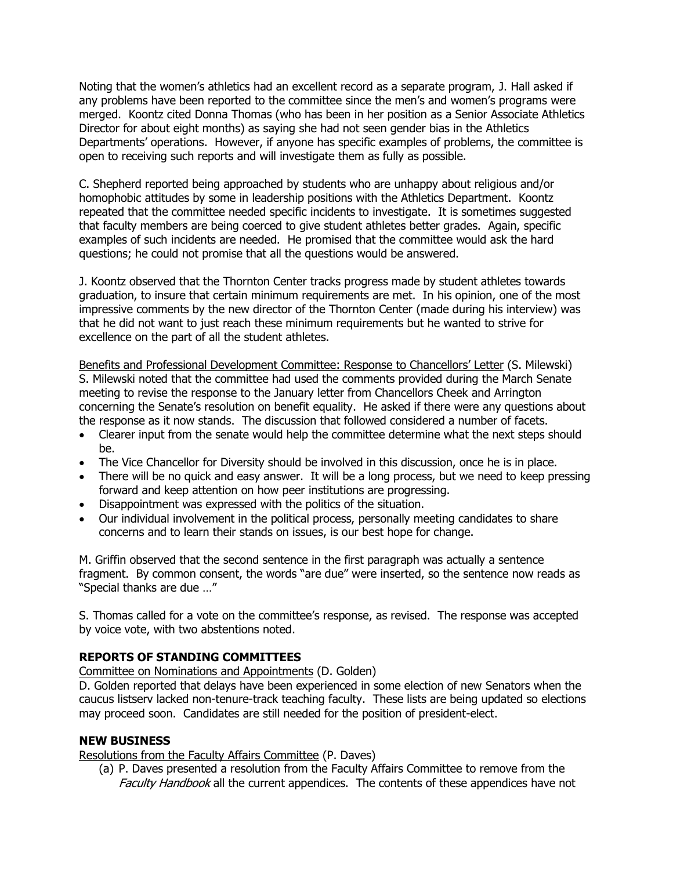Noting that the women's athletics had an excellent record as a separate program, J. Hall asked if any problems have been reported to the committee since the men's and women's programs were merged. Koontz cited Donna Thomas (who has been in her position as a Senior Associate Athletics Director for about eight months) as saying she had not seen gender bias in the Athletics Departments' operations. However, if anyone has specific examples of problems, the committee is open to receiving such reports and will investigate them as fully as possible.

C. Shepherd reported being approached by students who are unhappy about religious and/or homophobic attitudes by some in leadership positions with the Athletics Department. Koontz repeated that the committee needed specific incidents to investigate. It is sometimes suggested that faculty members are being coerced to give student athletes better grades. Again, specific examples of such incidents are needed. He promised that the committee would ask the hard questions; he could not promise that all the questions would be answered.

J. Koontz observed that the Thornton Center tracks progress made by student athletes towards graduation, to insure that certain minimum requirements are met. In his opinion, one of the most impressive comments by the new director of the Thornton Center (made during his interview) was that he did not want to just reach these minimum requirements but he wanted to strive for excellence on the part of all the student athletes.

Benefits and Professional Development Committee: Response to Chancellors' Letter (S. Milewski) S. Milewski noted that the committee had used the comments provided during the March Senate meeting to revise the response to the January letter from Chancellors Cheek and Arrington concerning the Senate's resolution on benefit equality. He asked if there were any questions about the response as it now stands. The discussion that followed considered a number of facets.

- Clearer input from the senate would help the committee determine what the next steps should be.
- The Vice Chancellor for Diversity should be involved in this discussion, once he is in place.
- There will be no quick and easy answer. It will be a long process, but we need to keep pressing forward and keep attention on how peer institutions are progressing.
- Disappointment was expressed with the politics of the situation.
- Our individual involvement in the political process, personally meeting candidates to share concerns and to learn their stands on issues, is our best hope for change.

M. Griffin observed that the second sentence in the first paragraph was actually a sentence fragment. By common consent, the words "are due" were inserted, so the sentence now reads as "Special thanks are due …"

S. Thomas called for a vote on the committee's response, as revised. The response was accepted by voice vote, with two abstentions noted.

### **REPORTS OF STANDING COMMITTEES**

Committee on Nominations and Appointments (D. Golden)

D. Golden reported that delays have been experienced in some election of new Senators when the caucus listserv lacked non-tenure-track teaching faculty. These lists are being updated so elections may proceed soon. Candidates are still needed for the position of president-elect.

#### **NEW BUSINESS**

Resolutions from the Faculty Affairs Committee (P. Daves)

(a) P. Daves presented a resolution from the Faculty Affairs Committee to remove from the Faculty Handbook all the current appendices. The contents of these appendices have not